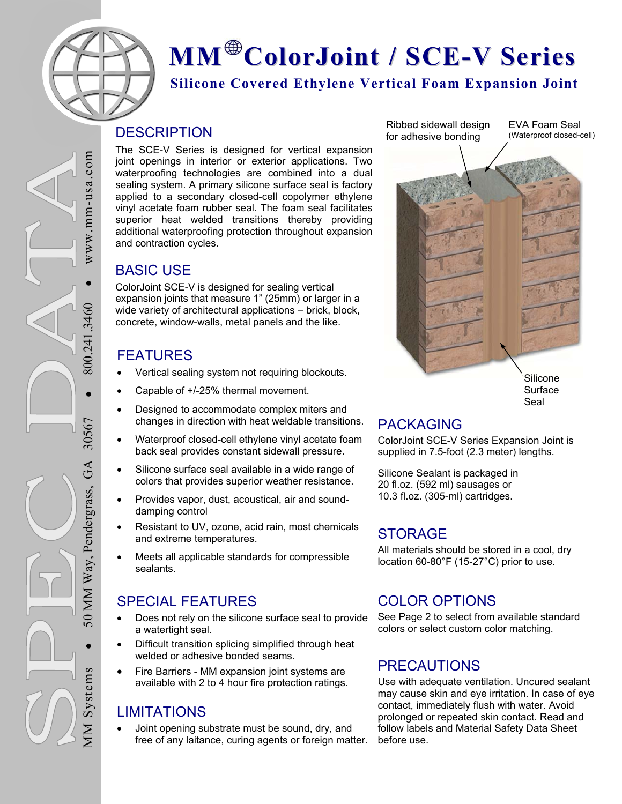

## **MM ColorJoint / SCE-V Series**

**Silicone Covered Ethylene Vertical Foam Expansion Joint** 

#### **DESCRIPTION**

The SCE-V Series is designed for vertical expansion joint openings in interior or exterior applications. Two waterproofing technologies are combined into a dual sealing system. A primary silicone surface seal is factory applied to a secondary closed-cell copolymer ethylene vinyl acetate foam rubber seal. The foam seal facilitates superior heat welded transitions thereby providing additional waterproofing protection throughout expansion and contraction cycles.

#### BASIC USE

ColorJoint SCE-V is designed for sealing vertical expansion joints that measure 1" (25mm) or larger in a wide variety of architectural applications – brick, block, concrete, window-walls, metal panels and the like.

#### FEATURES

- Vertical sealing system not requiring blockouts.
- Capable of +/-25% thermal movement.
- Designed to accommodate complex miters and changes in direction with heat weldable transitions.
- Waterproof closed-cell ethylene vinyl acetate foam back seal provides constant sidewall pressure.
- Silicone surface seal available in a wide range of colors that provides superior weather resistance.
- Provides vapor, dust, acoustical, air and sounddamping control
- Resistant to UV, ozone, acid rain, most chemicals and extreme temperatures.
- Meets all applicable standards for compressible sealants.

#### SPECIAL FEATURES

- Does not rely on the silicone surface seal to provide a watertight seal.
- Difficult transition splicing simplified through heat welded or adhesive bonded seams.
- Fire Barriers MM expansion joint systems are available with 2 to 4 hour fire protection ratings.

#### LIMITATIONS

 Joint opening substrate must be sound, dry, and free of any laitance, curing agents or foreign matter.

EVA Foam Seal (Waterproof closed-cell) Ribbed sidewall design for adhesive bonding



Surface Seal

#### PACKAGING

ColorJoint SCE-V Series Expansion Joint is supplied in 7.5-foot (2.3 meter) lengths.

Silicone Sealant is packaged in 20 fl.oz. (592 ml) sausages or 10.3 fl.oz. (305-ml) cartridges.

#### STORAGE

All materials should be stored in a cool, dry location 60-80°F (15-27°C) prior to use.

#### COLOR OPTIONS

See Page 2 to select from available standard colors or select custom color matching.

#### **PRECAUTIONS**

Use with adequate ventilation. Uncured sealant may cause skin and eye irritation. In case of eye contact, immediately flush with water. Avoid prolonged or repeated skin contact. Read and follow labels and Material Safety Data Sheet before use.

 $\bullet$  WWW.mm-usa.com  $WW$  W  $-$ um-usa.com  $\bullet$  $\bullet$  800.241.3460 .3460 800.241 50 MM Way, Pendergrass, GA 30567 30567 GA MM Way, Pendergrass,  $\overline{50}$ MM Systems Systems  $\sum_{i=1}^{n}$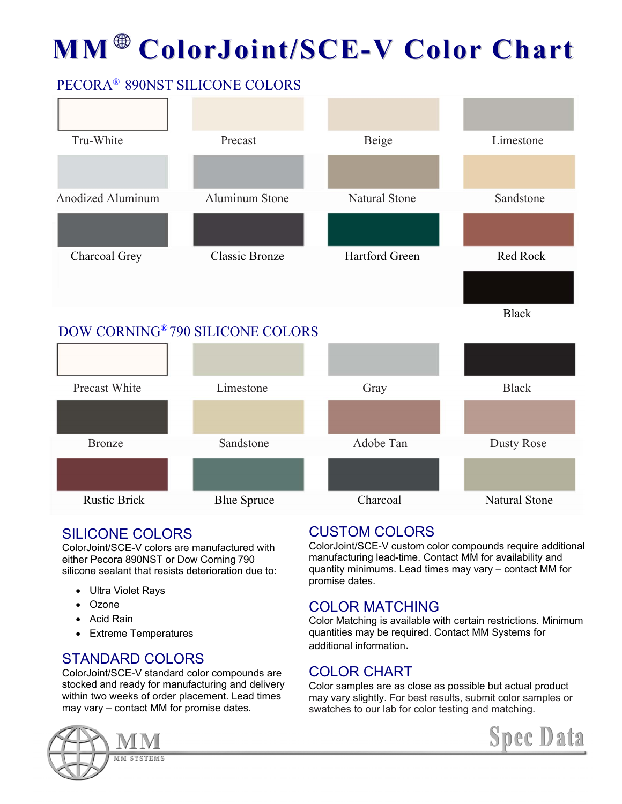# **MM ColorJoint/SCE-V Color Chart**

#### PECORA® 890NST SILICONE COLORS



#### SILICONE COLORS

ColorJoint/SCE-V colors are manufactured with either Pecora 890NST or Dow Corning 790 silicone sealant that resists deterioration due to:

- Ultra Violet Rays
- Ozone
- Acid Rain
- Extreme Temperatures

#### STANDARD COLORS

ColorJoint/SCE-V standard color compounds are stocked and ready for manufacturing and delivery within two weeks of order placement. Lead times may vary – contact MM for promise dates.

### CUSTOM COLORS

ColorJoint/SCE-V custom color compounds require additional manufacturing lead-time. Contact MM for availability and quantity minimums. Lead times may vary – contact MM for promise dates.

#### COLOR MATCHING

Color Matching is available with certain restrictions. Minimum quantities may be required. Contact MM Systems for additional information.

#### COLOR CHART

Color samples are as close as possible but actual product may vary slightly. For best results, submit color samples or swatches to our lab for color testing and matching.